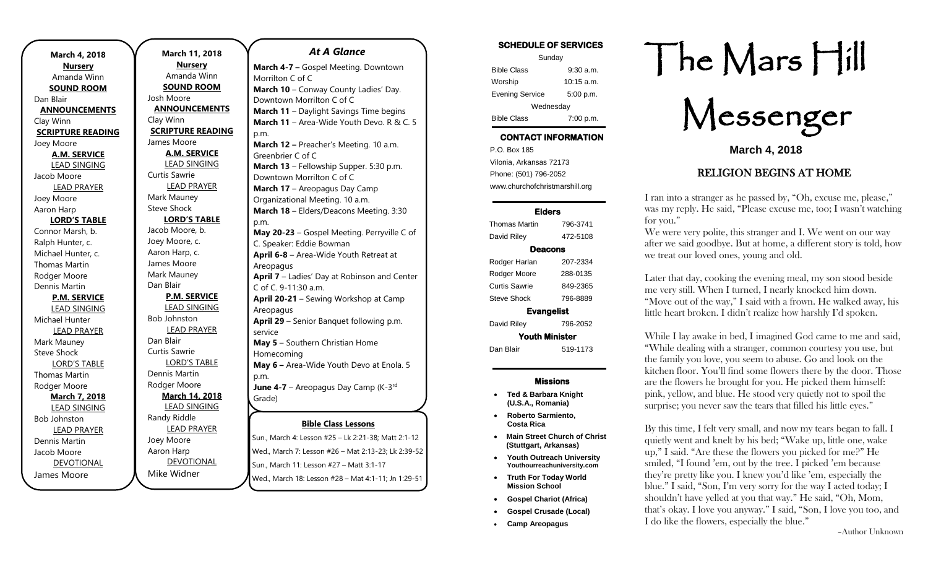| March 4, 2018            |
|--------------------------|
| <b>Nursery</b>           |
| Amanda Winn              |
| <b>SOUND ROOM</b>        |
| Dan Blair                |
| <b>ANNOUNCEMENTS</b>     |
| Clay Winn                |
| <b>SCRIPTURE READING</b> |
| Joey Moore               |
| <b>A.M. SERVICE</b>      |
| <b>LEAD SINGING</b>      |
| Jacob Moore              |
| <b>LEAD PRAYER</b>       |
| Joey Moore               |
| Aaron Harp               |
| <b>LORD'S TABLE</b>      |
| Connor Marsh, b.         |
| Ralph Hunter, c.         |
| Michael Hunter, c.       |
| <b>Thomas Martin</b>     |
| Rodger Moore             |
| Dennis Martin            |
| <b>P.M. SERVICE</b>      |
| <b>LEAD SINGING</b>      |
| Michael Hunter           |
| <b>LEAD PRAYER</b>       |
| Mark Mauney              |
| <b>Steve Shock</b>       |
| <b>LORD'S TABLE</b>      |
| <b>Thomas Martin</b>     |
| Rodger Moore             |
| <b>March 7, 2018</b>     |
| <b>LEAD SINGING</b>      |
| <b>Bob Johnston</b>      |
| <b>LEAD PRAYER</b>       |
| Dennis Martin            |
| Jacob Moore              |
| <b>DEVOTIONAL</b>        |
| James Moore              |

**March 11, 2018 Nursery** Amanda Winn **SOUND ROOM** Josh Moore **ANNOUNCEMENTS** Clay Winn **SCRIPTURE READING** James Moore **A.M. SERVICE** LEAD SINGING Curtis Sawrie LEAD PRAYER Mark Mauney Steve Shock **LORD'S TABLE** Jacob Moore, b. Joey Moore, c. Aaron Harp, c. James Moore Mark Mauney Dan Blair **P.M. SERVICE** LEAD SINGING Bob Johnston LEAD PRAYER Dan Blair Curtis Sawrie LORD'S TABLE Dennis Martin Rodger Moore **March 14, 2018** LEAD SINGING Randy Riddle LEAD PRAYER Joey Moore Aaron Harp DEVOTIONAL Mike Widner

## **Bible Class Lessons** <u>2000 - 2000 - 2000 - 2000 -</u><br>Sun., March 4: Lesson #25 – Lk 2:21-38; Matt 2:1-12 *At A Glance*  **March 4-7 –** Gospel Meeting. Downtown Morrilton C of C **March 10** – Conway County Ladies' Day. Downtown Morrilton C of C **March 11** – Daylight Savings Time begins **March 11** – Area-Wide Youth Devo. R & C. 5 p.m. **March 12 –** Preacher's Meeting. 10 a.m. Greenbrier C of C **March 13** – Fellowship Supper. 5:30 p.m. Downtown Morrilton C of C **March 17** – Areopagus Day Camp Organizational Meeting. 10 a.m. **March 18** – Elders/Deacons Meeting. 3:30 p.m. **May 20-23** – Gospel Meeting. Perryville C of C. Speaker: Eddie Bowman **April 6-8** – Area-Wide Youth Retreat at Areopagus **April 7** – Ladies' Day at Robinson and Center C of C. 9-11:30 a.m. **April 20-21** – Sewing Workshop at Camp Areopagus **April 29** – Senior Banquet following p.m. service **May 5** – Southern Christian Home Homecoming **May 6 –** Area-Wide Youth Devo at Enola. 5 p.m. **June 4-7** – Areopagus Day Camp (K-3<sup>rd</sup> Grade)

Wed., March 7: Lesson #26 – Mat 2:13-23; Lk 2:39-52 Sun., March 11: Lesson #27 – Matt 3:1-17 Wed., March 18: Lesson #28 – Mat 4:1-11; Jn 1:29-51 **JUNE, IVIAICH 4. LESSUN #2J – LK 2.21-JO, IVIAIL 2 June 24-30** – Areopagus Jr. High School

### SCHEDULE OF SERVICES

| Sunday                 |              |  |
|------------------------|--------------|--|
| <b>Bible Class</b>     | $9:30$ a.m.  |  |
| Worship                | $10:15$ a.m. |  |
| <b>Evening Service</b> | 5:00 p.m.    |  |
| Wednesday              |              |  |
| <b>Bible Class</b>     | 7:00 p.m.    |  |

# CONTACT INFORMATION

. .o. Box 166<br>Vilonia, Arkansas 72173 P.O. Box 185 Phone: (501) 796-2052 www.churchofchristmarshill.org

#### Elders

| Deacons               |  |  |  |
|-----------------------|--|--|--|
|                       |  |  |  |
|                       |  |  |  |
|                       |  |  |  |
|                       |  |  |  |
| <b>Evangelist</b>     |  |  |  |
|                       |  |  |  |
| <b>Youth Minister</b> |  |  |  |
|                       |  |  |  |
|                       |  |  |  |

#### Missions

- **Ted & Barbara Knight (U.S.A., Romania)**
- **Roberto Sarmiento, Costa Rica**
- **Main Street Church of Christ (Stuttgart, Arkansas)**
- **Youth Outreach University Youthourreachuniversity.com**
- **Truth For Today World Mission School**
- **Gospel Chariot (Africa)**
- **Gospel Crusade (Local)**
- **Camp Areopagus**

# The Mars Hill

Messenger

**March 4, 2018**

## RELIGION BEGINS AT HOME

I ran into a stranger as he passed by, "Oh, excuse me, please," was my reply. He said, "Please excuse me, too; I wasn't watching for you."

We were very polite, this stranger and I. We went on our way after we said goodbye. But at home, a different story is told, how we treat our loved ones, young and old.

Later that day, cooking the evening meal, my son stood beside me very still. When I turned, I nearly knocked him down. "Move out of the way," I said with a frown. He walked away, his little heart broken. I didn't realize how harshly I'd spoken.

While I lay awake in bed, I imagined God came to me and said, "While dealing with a stranger, common courtesy you use, but the family you love, you seem to abuse. Go and look on the kitchen floor. You'll find some flowers there by the door. Those are the flowers he brought for you. He picked them himself: pink, yellow, and blue. He stood very quietly not to spoil the surprise; you never saw the tears that filled his little eyes."

By this time, I felt very small, and now my tears began to fall. I quietly went and knelt by his bed; "Wake up, little one, wake up," I said. "Are these the flowers you picked for me?" He smiled, "I found 'em, out by the tree. I picked 'em because they're pretty like you. I knew you'd like 'em, especially the blue." I said, "Son, I'm very sorry for the way I acted today; I shouldn't have yelled at you that way." He said, "Oh, Mom, that's okay. I love you anyway." I said, "Son, I love you too, and I do like the flowers, especially the blue."